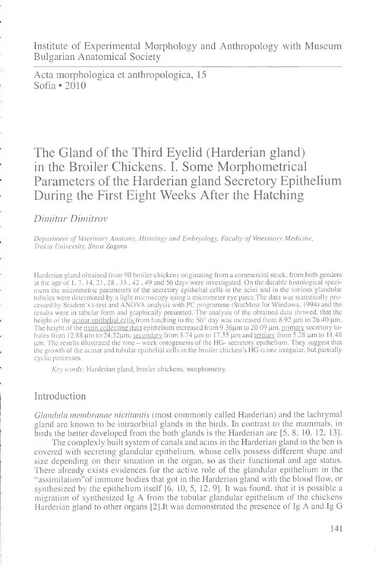Institute of Experimental Morphology and Anthropology with Museum Bulgarian Anatomical Society

Acta morphologica et anthropologica, 15 Sofia \*2010

# The Gland of the Third Eyelid (Harderian gland) in the Broiler Chickens. I. Some Morphometrical Parameters of the Harderian gland Secretory Epithelium During the First Eight Weeks After the Hatching

# *Dimitar Dimitrov*

Department of Veterinary Anatomy, Histology and Embryology, Faculty of Veterinary Medicine, *Trakia University, Stara Zagora*

Harderian gland obtained from 90 broiler chickens originating from a commercial stock, from both genders at the age of 1, 7, 14, 21,28,35,42,49 and 56 days were investigated. On the durable histological specimens the micrometric parameters of the secretory epithelial cells in the acini and in the various glandular tubules were determined by a light microscopy using a micrometer eye piece.The data was statistically processed by Student's t-test and ANOVA analysis with PC programme (StatMost for Windows. 1994) and the results were in tabular form and graphically presented. The analysis of the obtained data showed, that the height of the <u>acinar epithelial cells f</u>rom hatching to the 56<sup>th</sup> day was increased from 8.92 µm to 26.40 µm. The height of the main collecting duct epithelium increased from 9.36µm to 20.09 µm, primary secretory tubules from 12.88 µm to 24.32µm; <u>secondary</u> from 8.74 µm to 17.35 µm and tertiary from 5.28 µm to 11.48 um. The results illustrated the nine – week ontogenesis of the HG- secretory epithelium. They suggest that the growth of the acinar and tubular epithelial cells in the broiler chicken's HG is one irregular, but partially cyclic processes.

*Key words:* Harderian gland, broiler chickens, morphometry.

# Introduction

*Glandula membranae nictitantis* (most commonly called Harderian) and the lachrymal gland are known to be intraorbital glands in the birds. In contrast to the mammals, in birds the better developed from the both glands is the Harderian are [5, 8 , 10, 12, 13].

The complexly built system of canals and acins in the Harderian gland in the hen is covered with secreting glandular epithelium, whose cells possess different shape and size depending on their situation in the organ, so as their functional and age status. There already exists evidences for the active role of the glandular epithelium in the "assimilation"of immune bodies that got in the Harderian gland with the blood flow, or synthesized by the epithelium itself  $[6, 10, 5, 12, 9]$ . It was found, that it is possible a migration of synthesized Ig A from the tubular glandular epithelium of the chickens Harderian gland to other organs [2].It was demonstrated the presence of Ig A and Ig G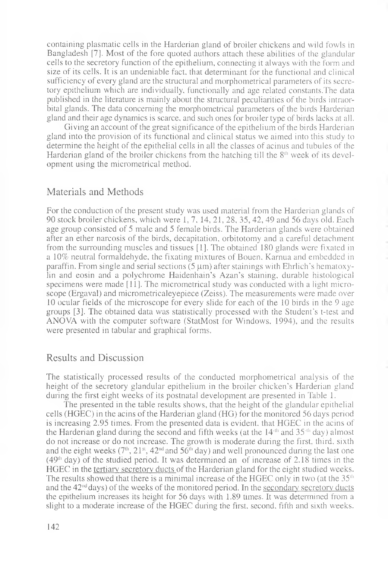containing plasmatic cells in the Harderian gland of broiler chickens and wild fowls in Bangladesh [7], Most of the fore quoted authors attach these abilities of the glandular cells to the secretory function of the epithelium, connecting it always with the form and size of its cells. It is an undeniable fact, that determinant for the functional and clinical sufficiency of every gland are the structural and morphometrical parameters of its secretory epithelium which are individually, functionally and age related constants.The data published in the literature is mainly about the structural peculiarities of the birds intraorbital glands. The data concerning the morphometrical parameters of the birds Harderian gland and their age dynamics is scarce, and such ones for broiler type of birds lacks at all.

Giving an account of the great significance of the epithelium of the birds Harderian gland into the provision of its functional and clinical status we aimed into this study to determine the height of the epithelial cells in all the classes of acinus and tubules of the Harderian gland of the broiler chickens from the hatching till the  $8<sup>th</sup>$  week of its development using the micrometrical method.

### Materials and Methods

For the conduction of the present study was used material from the Harderian glands of 90 stock broiler chickens, which were 1, 7, 14, 21, 28, 35, 42, 49 and 56 days old. Each age group consisted of 5 male and 5 female birds. The Harderian glands were obtained after an ether narcosis of the birds, decapitation, orbitotomy and a careful detachment from the surrounding muscles and tissues [1]. The obtained 180 glands were fixated in a 10% neutral formaldehyde, the fixating mixtures of Bouen. Karnua and embedded in paraffin. From single and serial sections  $(5 \mu m)$  after stainings with Ehrlich's hematoxylin and eosin and a polychrome Haidenhain's Azan's staining, durable histological specimens were made [11]. The micrometrical study was conducted with a light microscope (Ergaval) and micrometricaleyepiece (Zeiss). The measurements were made over 10 ocular fields of the microscope for every slide for each of the 10 birds in the 9 age groups [3]. The obtained data was statistically processed with the Student's t-test and ANOVA with the computer software (StatMost for Windows. 1994), and the results were presented in tabular and graphical forms.

### Results and Discussion

The statistically processed results of the conducted morphometrical analysis of the height of the secretory glandular epithelium in the broiler chicken's Harderian gland during the first eight weeks of its postnatal development are presented in Table 1.

The presented in the table results shows, that the height of the glandular epithelial cells (HGEC) in the acins of the Harderian gland (HG) for the monitored 56 days period is increasing 2.95 times. From the presented data is evident, that HGEC in the acins of the Harderian gland during the second and fifth weeks (at the  $14$ <sup>th</sup> and  $35$ <sup>-th</sup> day) almost do not increase or do not increase. The growth is moderate during the first, third, sixth and the eight weeks ( $7<sup>th</sup>$ ,  $21<sup>st</sup>$ ,  $42<sup>nd</sup>$  and  $56<sup>th</sup>$  day) and well pronounced during the last one  $(49<sup>th</sup>$  day) of the studied period. It was determined an of increase of 2.18 times in the HGEC in the tertiary secretory ducts of the Harderian gland for the eight studied weeks. The results showed that there is a minimal increase of the HGEC only in two (at the  $35<sup>th</sup>$ and the  $42<sup>nd</sup>$  days) of the weeks of the monitored period. In the secondary secretory ducts the epithelium increases its height for 56 days with 1.89 times. It was determined from a slight to a moderate increase of the HGEC during the first, second, fifth and sixth weeks.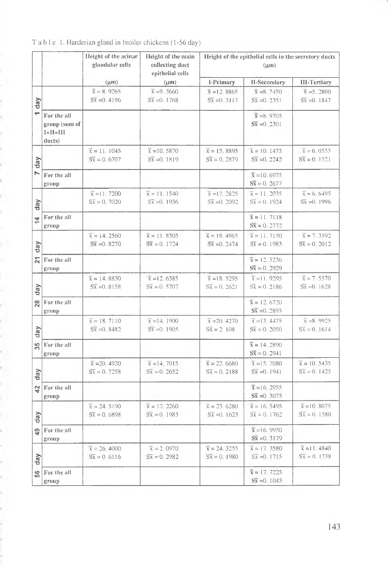|                         |               | Height of the acinar | Height of the main        | Height of the epithelial cells in the secretory ducts |                          |                          |
|-------------------------|---------------|----------------------|---------------------------|-------------------------------------------------------|--------------------------|--------------------------|
|                         |               | glandular cells      | collecting duct           | $(\mu m)$                                             |                          |                          |
|                         |               |                      | epithelial cells          |                                                       |                          |                          |
|                         |               | $(\mu m)$            | $(\mu m)$                 | I-Primary                                             | II-Secondary             | <b>III-Tertiary</b>      |
|                         |               | $\bar{x} = 8.9265$   | $\bar{x} = 9.3660$        | $\bar{x}$ = 12.8865                                   | $\bar{x} = 8.7450$       | $\bar{x} = 5.2800$       |
| day                     |               | $S\bar{x} = 0.4196$  | $S\bar{x} = 0.1768$       | $S\bar{x} = 0.3117$                                   | $S_{X} = 0.2351$         | $S_{X} = 0.1847$         |
|                         |               |                      |                           |                                                       |                          |                          |
| ÷                       | For the all   |                      |                           |                                                       | $\bar{x} = 8.9705$       |                          |
|                         | group (sum of |                      |                           |                                                       | $S\bar{x} = 0.2301$      |                          |
|                         | $I+II+III$    |                      |                           |                                                       |                          |                          |
|                         | ducts)        |                      |                           |                                                       |                          |                          |
|                         |               | $\bar{x} = 11.1045$  | $\overline{x}$ = 10. 5870 | $\bar{x} = 15.8895$                                   | $\bar{x} = 10.1475$      | $\bar{x} = 6.0555$       |
| day                     |               | $S\bar{x} = 0.6707$  | $S\bar{x} = 0.1819$       | $S\bar{x} = 0.2879$                                   | $S\bar{x} = 0.2242$      | $S\bar{x} = 0.1521$      |
| N                       | For the all   |                      |                           |                                                       | $\bar{x} = 10.6975$      |                          |
|                         | group         |                      |                           |                                                       | $S\bar{x} = 0.2677$      |                          |
|                         |               | $\bar{x}$ = 11.7200  | $\bar{x} = 11.1540$       | $\bar{x}$ = 17. 2825                                  | $\bar{x} = 11.2035$      | $\bar{x} = 6.6495$       |
|                         |               | $S\bar{x} = 0.7020$  | $S\bar{x} = 0.1936$       | $S\bar{x} = 0.2092$                                   | $S\bar{x} = 0.1924$      | $S_{X} = 0.1996$         |
| day                     |               |                      |                           |                                                       |                          |                          |
| 호                       | For the all   |                      |                           |                                                       | $\bar{x} = 11.7118$      |                          |
|                         | group         |                      |                           |                                                       | $S\bar{x} = 0.2772$      |                          |
|                         |               | $\bar{x} = 14.2560$  | $\bar{x} = 11.8305$       | $\bar{x} = 18.4965$                                   | $\bar{x} = 11.7150$      | $\bar{x}$ = 7.3592       |
| $\frac{day}{x}$         |               | $S\bar{x} = 0.8270$  | $S\bar{x} = 0.1724$       | $S\bar{x} = 0.2474$                                   | $S\bar{x} = 0.1983$      | $S\bar{x} = 0.2012$      |
|                         |               |                      |                           |                                                       |                          |                          |
| $\overline{\mathbf{z}}$ | For the all   |                      |                           |                                                       | $\bar{x} = 12.5236$      |                          |
|                         | group         |                      |                           |                                                       | $S\bar{x} = 0.2929$      |                          |
|                         |               | $\bar{x} = 14.8830$  | $\bar{x}$ = 12. 6385      | $\bar{x} = 18.5295$                                   | $\bar{x} = 11.9295$      | $\bar{x}$ = 7.5570       |
| day                     |               | $S\bar{x} = 0.8158$  | $S\bar{x} = 0.5707$       | $S\bar{x} = 0.2621$                                   | $S\bar{x} = 0.2186$      | $S_{X} = 0.1628$         |
|                         | For the all   |                      |                           |                                                       | $\bar{x} = 12.6720$      |                          |
| $\frac{8}{2}$           | group         |                      |                           |                                                       | $S\bar{x} = 0.2895$      |                          |
|                         |               | $\bar{x} = 18.7110$  | $\bar{x}$ = 14. 1900      | $\bar{x}$ = 20.4270                                   | $\bar{x} = 13.4475$      | $\bar{x} = 8.9925$       |
|                         |               | $S\bar{x} = 0.8482$  | $S_{X} = 0.1905$          | $S\bar{x} = 2.108$                                    | $S\bar{x} = 0.2050$      | $S\bar{x} = 0.1614$      |
| day                     |               |                      |                           |                                                       |                          |                          |
| 35                      | For the all   |                      |                           |                                                       | $\bar{x} = 14.2890$      |                          |
|                         | group         |                      |                           |                                                       | $S\bar{x} = 0.2941$      |                          |
|                         |               | $\bar{x}$ = 20. 4920 | $\bar{x} = 14.7015$       | $\bar{x} = 22.6680$                                   | $\bar{x} = 15.7080$      | $\bar{x} = 10.5435$      |
| day                     |               | $S\bar{x} = 0.7258$  | $S\bar{x} = 0.2652$       | $S\bar{x} = 0.2188$                                   | $S_{X} = 0.1941$         | $S\overline{x} = 0.1425$ |
|                         |               |                      |                           |                                                       |                          |                          |
| $\frac{5}{4}$           | For the all   |                      |                           |                                                       | $\bar{x} = 16.2955$      |                          |
|                         | group         |                      |                           |                                                       | $S\bar{x} = 0.3075$      |                          |
|                         |               | $\bar{x} = 24.5190$  | $\bar{x} = 17.2260$       | $\bar{x} = 23.6280$                                   | $\bar{x} = 16.5495$      | $\bar{x}$ = 10.8075      |
| day                     |               | $S\bar{x} = 0.6898$  | $S\bar{x} = 0.1983$       | $S\bar{x} = 0.1623$                                   | $S\bar{x} = 0.1762$      | $S\bar{x} = 0.1580$      |
|                         | For the all   |                      |                           |                                                       | $\bar{x} = 16.9950$      |                          |
| ö,                      | group         |                      |                           |                                                       | $S\bar{x} = 0.3179$      |                          |
|                         |               | $\bar{x} = 26.4000$  | $\bar{x} = 2.0970$        | $\bar{x} = 24.3255$                                   | $\overline{x}$ = 17.3580 | $\bar{x} = 11.4840$      |
|                         |               | $S\bar{x} = 0.6116$  | $S\bar{x} = 0.2982$       | $S\bar{x} = 0.1980$                                   | $S_{X} = 0.1715$         | $S\bar{x} = 0.1738$      |
| day                     |               |                      |                           |                                                       |                          |                          |
| $\frac{6}{5}$           | For the all   |                      |                           |                                                       | $\bar{x} = 17.7225$      |                          |
|                         | group         |                      |                           |                                                       | $S\bar{x} = 0.1043$      |                          |

Table 1. Harderian gland in broiler chickens (1-56 day)

ì į,

ė

Ú ŕ. ł,

ì ŕ,

é ł, k ś, ś í

į

ë